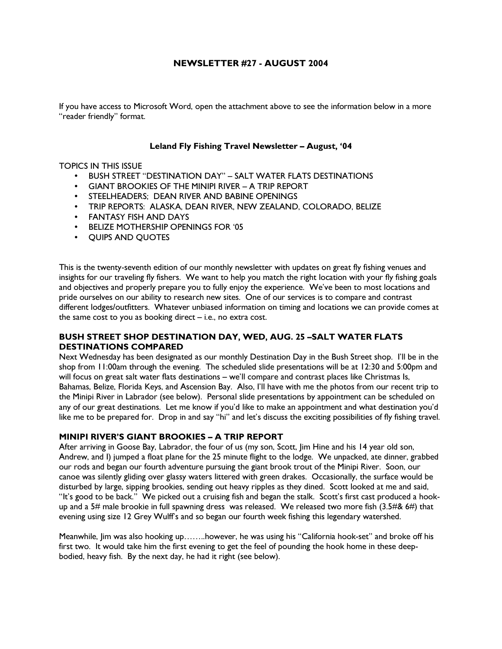### NEWSLETTER #27 - AUGUST 2004

If you have access to Microsoft Word, open the attachment above to see the information below in a more "reader friendly" format.

### Leland Fly Fishing Travel Newsletter – August, '04

### TOPICS IN THIS ISSUE

- BUSH STREET "DESTINATION DAY" SALT WATER FLATS DESTINATIONS
- GIANT BROOKIES OF THE MINIPI RIVER A TRIP REPORT
- STEELHEADERS; DEAN RIVER AND BABINE OPENINGS
- TRIP REPORTS: ALASKA, DEAN RIVER, NEW ZEALAND, COLORADO, BELIZE
- FANTASY FISH AND DAYS
- BELIZE MOTHERSHIP OPENINGS FOR '05
- QUIPS AND QUOTES

This is the twenty-seventh edition of our monthly newsletter with updates on great fly fishing venues and insights for our traveling fly fishers. We want to help you match the right location with your fly fishing goals and objectives and properly prepare you to fully enjoy the experience. We've been to most locations and pride ourselves on our ability to research new sites. One of our services is to compare and contrast different lodges/outfitters. Whatever unbiased information on timing and locations we can provide comes at the same cost to you as booking direct – i.e., no extra cost.

### BUSH STREET SHOP DESTINATION DAY, WED, AUG. 25 –SALT WATER FLATS DESTINATIONS COMPARED

Next Wednesday has been designated as our monthly Destination Day in the Bush Street shop. I'll be in the shop from 11:00am through the evening. The scheduled slide presentations will be at 12:30 and 5:00pm and will focus on great salt water flats destinations – we'll compare and contrast places like Christmas Is, Bahamas, Belize, Florida Keys, and Ascension Bay. Also, I'll have with me the photos from our recent trip to the Minipi River in Labrador (see below). Personal slide presentations by appointment can be scheduled on any of our great destinations. Let me know if you'd like to make an appointment and what destination you'd like me to be prepared for. Drop in and say "hi" and let's discuss the exciting possibilities of fly fishing travel.

### MINIPI RIVER'S GIANT BROOKIES – A TRIP REPORT

After arriving in Goose Bay, Labrador, the four of us (my son, Scott, Jim Hine and his 14 year old son, Andrew, and I) jumped a float plane for the 25 minute flight to the lodge. We unpacked, ate dinner, grabbed our rods and began our fourth adventure pursuing the giant brook trout of the Minipi River. Soon, our canoe was silently gliding over glassy waters littered with green drakes. Occasionally, the surface would be disturbed by large, sipping brookies, sending out heavy ripples as they dined. Scott looked at me and said, "It's good to be back." We picked out a cruising fish and began the stalk. Scott's first cast produced a hookup and a 5# male brookie in full spawning dress was released. We released two more fish (3.5#& 6#) that evening using size 12 Grey Wulff's and so began our fourth week fishing this legendary watershed.

Meanwhile, Jim was also hooking up……..however, he was using his "California hook-set" and broke off his first two. It would take him the first evening to get the feel of pounding the hook home in these deepbodied, heavy fish. By the next day, he had it right (see below).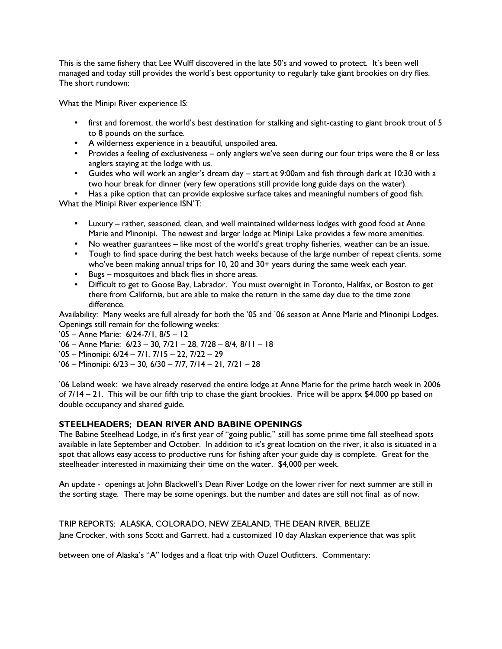This is the same fishery that Lee Wulff discovered in the late 50's and vowed to protect. It's been well managed and today still provides the world's best opportunity to regularly take giant brookies on dry flies. The short rundown:

What the Minipi River experience IS:

- first and foremost, the world's best destination for stalking and sight-casting to giant brook trout of 5 to 8 pounds on the surface.
- A wilderness experience in a beautiful, unspoiled area.
- Provides a feeling of exclusiveness only anglers we've seen during our four trips were the 8 or less anglers staying at the lodge with us.
- Guides who will work an angler's dream day start at 9:00am and fish through dark at 10:30 with a two hour break for dinner (very few operations still provide long guide days on the water).

• Has a pike option that can provide explosive surface takes and meaningful numbers of good fish. What the Minipi River experience ISN'T:

- Luxury rather, seasoned, clean, and well maintained wilderness lodges with good food at Anne Marie and Minonipi. The newest and larger lodge at Minipi Lake provides a few more amenities.
- No weather guarantees like most of the world's great trophy fisheries, weather can be an issue.
- Tough to find space during the best hatch weeks because of the large number of repeat clients, some who've been making annual trips for 10, 20 and 30+ years during the same week each year.
- Bugs mosquitoes and black flies in shore areas.
- Difficult to get to Goose Bay, Labrador. You must overnight in Toronto, Halifax, or Boston to get there from California, but are able to make the return in the same day due to the time zone difference.

Availability: Many weeks are full already for both the '05 and '06 season at Anne Marie and Minonipi Lodges. Openings still remain for the following weeks:

'05 – Anne Marie: 6/24-7/1, 8/5 – 12

- '06 Anne Marie: 6/23 30, 7/21 28, 7/28 8/4, 8/11 18
- '05 Minonipi: 6/24 7/1, 7/15 22, 7/22 29
- '06 Minonipi: 6/23 30, 6/30 7/7, 7/14 21, 7/21 28

'06 Leland week: we have already reserved the entire lodge at Anne Marie for the prime hatch week in 2006 of 7/14 – 21. This will be our fifth trip to chase the giant brookies. Price will be apprx \$4,000 pp based on double occupancy and shared guide.

# STEELHEADERS; DEAN RIVER AND BABINE OPENINGS

The Babine Steelhead Lodge, in it's first year of "going public," still has some prime time fall steelhead spots available in late September and October. In addition to it's great location on the river, it also is situated in a spot that allows easy access to productive runs for fishing after your guide day is complete. Great for the steelheader interested in maximizing their time on the water. \$4,000 per week.

An update - openings at John Blackwell's Dean River Lodge on the lower river for next summer are still in the sorting stage. There may be some openings, but the number and dates are still not final as of now.

# TRIP REPORTS: ALASKA, COLORADO, NEW ZEALAND, THE DEAN RIVER, BELIZE

Jane Crocker, with sons Scott and Garrett, had a customized 10 day Alaskan experience that was split

between one of Alaska's "A" lodges and a float trip with Ouzel Outfitters. Commentary: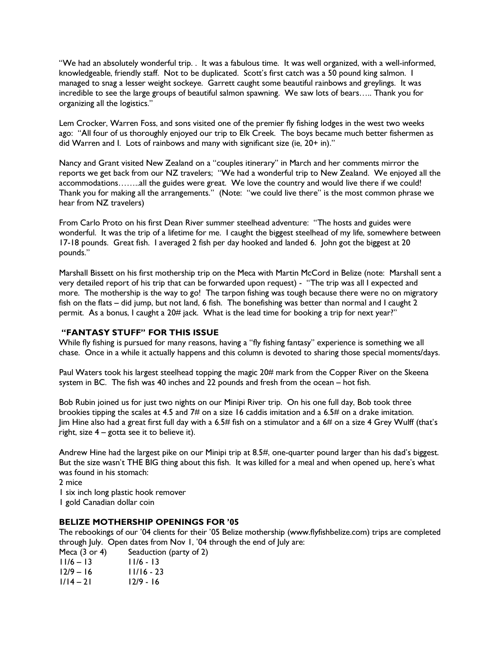"We had an absolutely wonderful trip. . It was a fabulous time. It was well organized, with a well-informed, knowledgeable, friendly staff. Not to be duplicated. Scott's first catch was a 50 pound king salmon. I managed to snag a lesser weight sockeye. Garrett caught some beautiful rainbows and greylings. It was incredible to see the large groups of beautiful salmon spawning. We saw lots of bears….. Thank you for organizing all the logistics."

Lem Crocker, Warren Foss, and sons visited one of the premier fly fishing lodges in the west two weeks ago: "All four of us thoroughly enjoyed our trip to Elk Creek. The boys became much better fishermen as did Warren and I. Lots of rainbows and many with significant size (ie, 20+ in)."

Nancy and Grant visited New Zealand on a "couples itinerary" in March and her comments mirror the reports we get back from our NZ travelers; "We had a wonderful trip to New Zealand. We enjoyed all the accommodations……..all the guides were great. We love the country and would live there if we could! Thank you for making all the arrangements." (Note: "we could live there" is the most common phrase we hear from NZ travelers)

From Carlo Proto on his first Dean River summer steelhead adventure: "The hosts and guides were wonderful. It was the trip of a lifetime for me. I caught the biggest steelhead of my life, somewhere between 17-18 pounds. Great fish. I averaged 2 fish per day hooked and landed 6. John got the biggest at 20 pounds."

Marshall Bissett on his first mothership trip on the Meca with Martin McCord in Belize (note: Marshall sent a very detailed report of his trip that can be forwarded upon request) - "The trip was all I expected and more. The mothership is the way to go! The tarpon fishing was tough because there were no on migratory fish on the flats – did jump, but not land, 6 fish. The bonefishing was better than normal and I caught 2 permit. As a bonus, I caught a 20# jack. What is the lead time for booking a trip for next year?"

### "FANTASY STUFF" FOR THIS ISSUE

While fly fishing is pursued for many reasons, having a "fly fishing fantasy" experience is something we all chase. Once in a while it actually happens and this column is devoted to sharing those special moments/days.

Paul Waters took his largest steelhead topping the magic 20# mark from the Copper River on the Skeena system in BC. The fish was 40 inches and 22 pounds and fresh from the ocean – hot fish.

Bob Rubin joined us for just two nights on our Minipi River trip. On his one full day, Bob took three brookies tipping the scales at 4.5 and 7# on a size 16 caddis imitation and a 6.5# on a drake imitation. Jim Hine also had a great first full day with a 6.5# fish on a stimulator and a 6# on a size 4 Grey Wulff (that's right, size  $4 -$  gotta see it to believe it).

Andrew Hine had the largest pike on our Minipi trip at 8.5#, one-quarter pound larger than his dad's biggest. But the size wasn't THE BIG thing about this fish. It was killed for a meal and when opened up, here's what was found in his stomach:

2 mice

1 six inch long plastic hook remover

1 gold Canadian dollar coin

### BELIZE MOTHERSHIP OPENINGS FOR '05

The rebookings of our '04 clients for their '05 Belize mothership (www.flyfishbelize.com) trips are completed through July. Open dates from Nov 1, '04 through the end of July are:

| Meca $(3$ or 4) | Seaduction (party of 2) |
|-----------------|-------------------------|
| $11/6 - 13$     | $11/6 - 13$             |
| $12/9 - 16$     | $11/16 - 23$            |
| $1/14 - 21$     | $12/9 - 16$             |